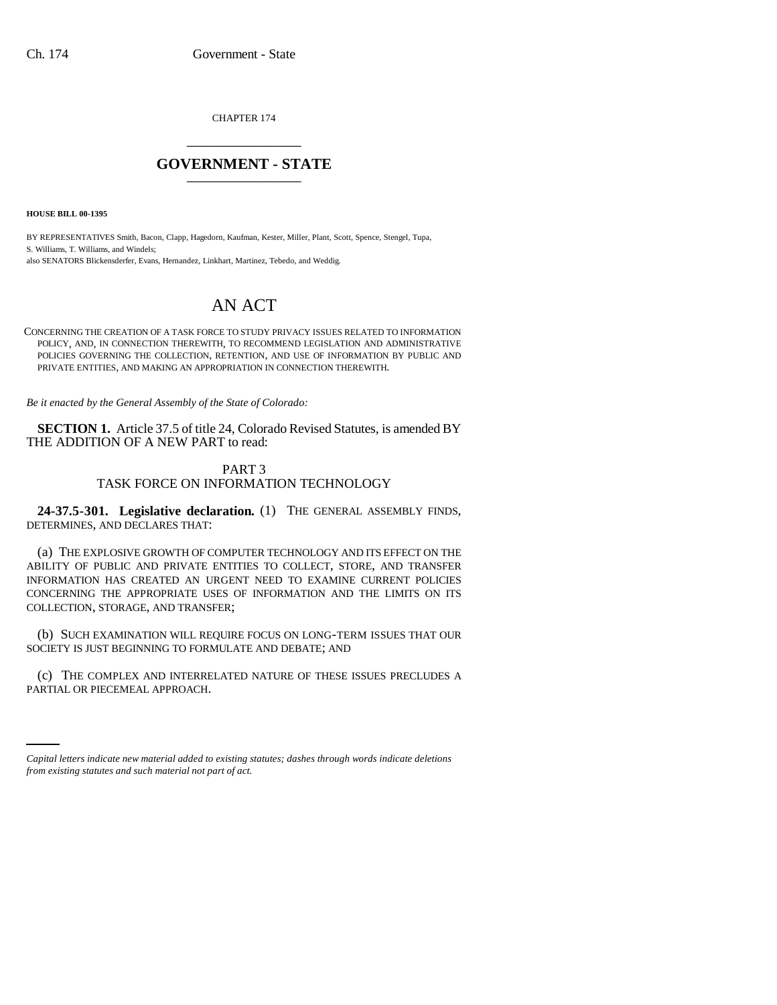CHAPTER 174 \_\_\_\_\_\_\_\_\_\_\_\_\_\_\_

## **GOVERNMENT - STATE** \_\_\_\_\_\_\_\_\_\_\_\_\_\_\_

**HOUSE BILL 00-1395** 

BY REPRESENTATIVES Smith, Bacon, Clapp, Hagedorn, Kaufman, Kester, Miller, Plant, Scott, Spence, Stengel, Tupa, S. Williams, T. Williams, and Windels; also SENATORS Blickensderfer, Evans, Hernandez, Linkhart, Martinez, Tebedo, and Weddig.

# AN ACT

CONCERNING THE CREATION OF A TASK FORCE TO STUDY PRIVACY ISSUES RELATED TO INFORMATION POLICY, AND, IN CONNECTION THEREWITH, TO RECOMMEND LEGISLATION AND ADMINISTRATIVE POLICIES GOVERNING THE COLLECTION, RETENTION, AND USE OF INFORMATION BY PUBLIC AND PRIVATE ENTITIES, AND MAKING AN APPROPRIATION IN CONNECTION THEREWITH.

*Be it enacted by the General Assembly of the State of Colorado:*

**SECTION 1.** Article 37.5 of title 24, Colorado Revised Statutes, is amended BY THE ADDITION OF A NEW PART to read:

### PART 3

#### TASK FORCE ON INFORMATION TECHNOLOGY

**24-37.5-301. Legislative declaration.** (1) THE GENERAL ASSEMBLY FINDS, DETERMINES, AND DECLARES THAT:

(a) THE EXPLOSIVE GROWTH OF COMPUTER TECHNOLOGY AND ITS EFFECT ON THE ABILITY OF PUBLIC AND PRIVATE ENTITIES TO COLLECT, STORE, AND TRANSFER INFORMATION HAS CREATED AN URGENT NEED TO EXAMINE CURRENT POLICIES CONCERNING THE APPROPRIATE USES OF INFORMATION AND THE LIMITS ON ITS COLLECTION, STORAGE, AND TRANSFER;

(b) SUCH EXAMINATION WILL REQUIRE FOCUS ON LONG-TERM ISSUES THAT OUR SOCIETY IS JUST BEGINNING TO FORMULATE AND DEBATE; AND

(c) THE COMPLEX AND INTERRELATED NATURE OF THESE ISSUES PRECLUDES A PARTIAL OR PIECEMEAL APPROACH.

*Capital letters indicate new material added to existing statutes; dashes through words indicate deletions from existing statutes and such material not part of act.*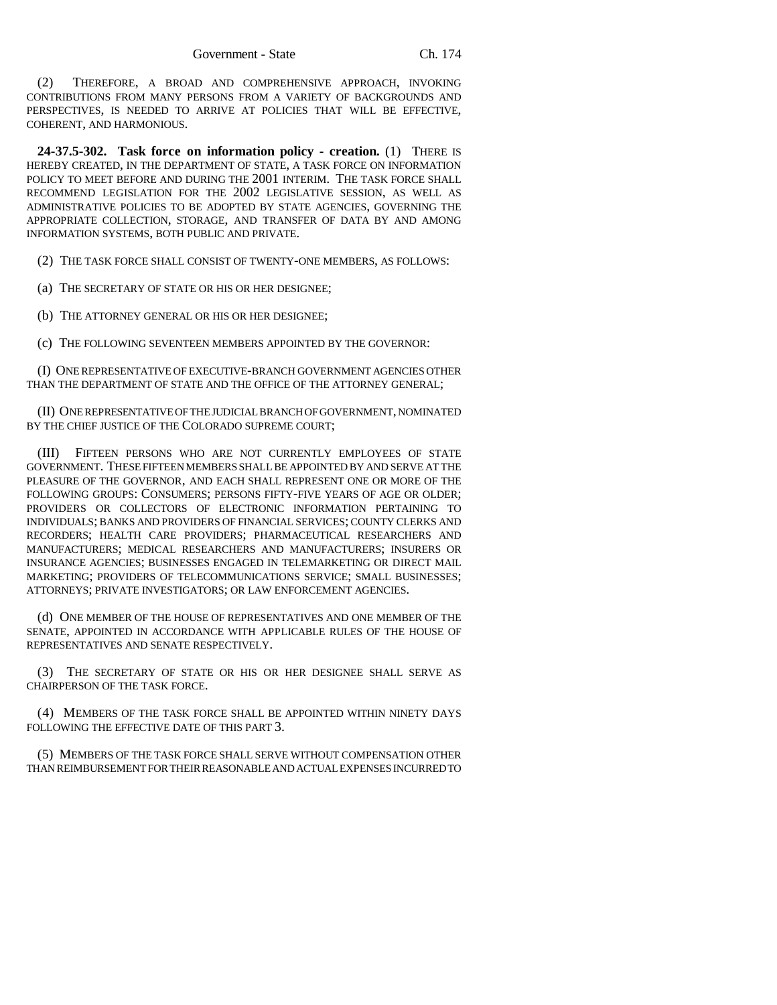(2) THEREFORE, A BROAD AND COMPREHENSIVE APPROACH, INVOKING CONTRIBUTIONS FROM MANY PERSONS FROM A VARIETY OF BACKGROUNDS AND PERSPECTIVES, IS NEEDED TO ARRIVE AT POLICIES THAT WILL BE EFFECTIVE, COHERENT, AND HARMONIOUS.

**24-37.5-302. Task force on information policy - creation.** (1) THERE IS HEREBY CREATED, IN THE DEPARTMENT OF STATE, A TASK FORCE ON INFORMATION POLICY TO MEET BEFORE AND DURING THE 2001 INTERIM. THE TASK FORCE SHALL RECOMMEND LEGISLATION FOR THE 2002 LEGISLATIVE SESSION, AS WELL AS ADMINISTRATIVE POLICIES TO BE ADOPTED BY STATE AGENCIES, GOVERNING THE APPROPRIATE COLLECTION, STORAGE, AND TRANSFER OF DATA BY AND AMONG INFORMATION SYSTEMS, BOTH PUBLIC AND PRIVATE.

(2) THE TASK FORCE SHALL CONSIST OF TWENTY-ONE MEMBERS, AS FOLLOWS:

(a) THE SECRETARY OF STATE OR HIS OR HER DESIGNEE;

(b) THE ATTORNEY GENERAL OR HIS OR HER DESIGNEE;

(c) THE FOLLOWING SEVENTEEN MEMBERS APPOINTED BY THE GOVERNOR:

(I) ONE REPRESENTATIVE OF EXECUTIVE-BRANCH GOVERNMENT AGENCIES OTHER THAN THE DEPARTMENT OF STATE AND THE OFFICE OF THE ATTORNEY GENERAL;

(II) ONE REPRESENTATIVE OF THE JUDICIAL BRANCH OF GOVERNMENT, NOMINATED BY THE CHIEF JUSTICE OF THE COLORADO SUPREME COURT;

(III) FIFTEEN PERSONS WHO ARE NOT CURRENTLY EMPLOYEES OF STATE GOVERNMENT. THESE FIFTEEN MEMBERS SHALL BE APPOINTED BY AND SERVE AT THE PLEASURE OF THE GOVERNOR, AND EACH SHALL REPRESENT ONE OR MORE OF THE FOLLOWING GROUPS: CONSUMERS; PERSONS FIFTY-FIVE YEARS OF AGE OR OLDER; PROVIDERS OR COLLECTORS OF ELECTRONIC INFORMATION PERTAINING TO INDIVIDUALS; BANKS AND PROVIDERS OF FINANCIAL SERVICES; COUNTY CLERKS AND RECORDERS; HEALTH CARE PROVIDERS; PHARMACEUTICAL RESEARCHERS AND MANUFACTURERS; MEDICAL RESEARCHERS AND MANUFACTURERS; INSURERS OR INSURANCE AGENCIES; BUSINESSES ENGAGED IN TELEMARKETING OR DIRECT MAIL MARKETING; PROVIDERS OF TELECOMMUNICATIONS SERVICE; SMALL BUSINESSES; ATTORNEYS; PRIVATE INVESTIGATORS; OR LAW ENFORCEMENT AGENCIES.

(d) ONE MEMBER OF THE HOUSE OF REPRESENTATIVES AND ONE MEMBER OF THE SENATE, APPOINTED IN ACCORDANCE WITH APPLICABLE RULES OF THE HOUSE OF REPRESENTATIVES AND SENATE RESPECTIVELY.

(3) THE SECRETARY OF STATE OR HIS OR HER DESIGNEE SHALL SERVE AS CHAIRPERSON OF THE TASK FORCE.

(4) MEMBERS OF THE TASK FORCE SHALL BE APPOINTED WITHIN NINETY DAYS FOLLOWING THE EFFECTIVE DATE OF THIS PART 3.

(5) MEMBERS OF THE TASK FORCE SHALL SERVE WITHOUT COMPENSATION OTHER THAN REIMBURSEMENT FOR THEIR REASONABLE AND ACTUAL EXPENSES INCURRED TO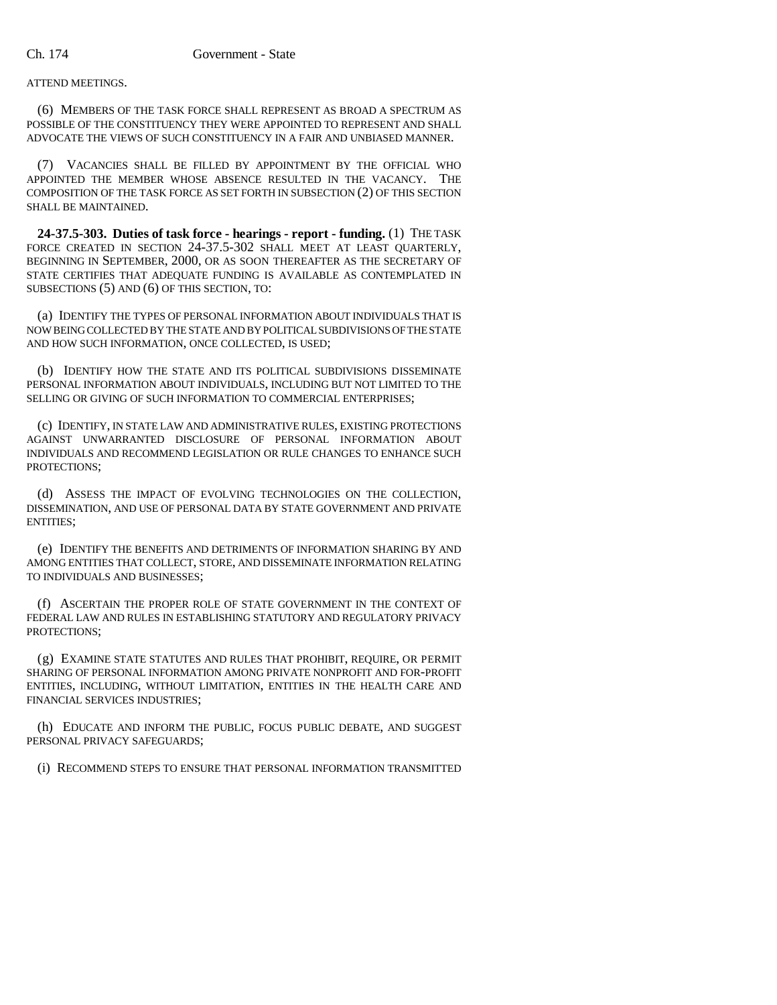#### ATTEND MEETINGS.

(6) MEMBERS OF THE TASK FORCE SHALL REPRESENT AS BROAD A SPECTRUM AS POSSIBLE OF THE CONSTITUENCY THEY WERE APPOINTED TO REPRESENT AND SHALL ADVOCATE THE VIEWS OF SUCH CONSTITUENCY IN A FAIR AND UNBIASED MANNER.

(7) VACANCIES SHALL BE FILLED BY APPOINTMENT BY THE OFFICIAL WHO APPOINTED THE MEMBER WHOSE ABSENCE RESULTED IN THE VACANCY. THE COMPOSITION OF THE TASK FORCE AS SET FORTH IN SUBSECTION (2) OF THIS SECTION SHALL BE MAINTAINED.

**24-37.5-303. Duties of task force - hearings - report - funding.** (1) THE TASK FORCE CREATED IN SECTION 24-37.5-302 SHALL MEET AT LEAST QUARTERLY, BEGINNING IN SEPTEMBER, 2000, OR AS SOON THEREAFTER AS THE SECRETARY OF STATE CERTIFIES THAT ADEQUATE FUNDING IS AVAILABLE AS CONTEMPLATED IN SUBSECTIONS (5) AND (6) OF THIS SECTION, TO:

(a) IDENTIFY THE TYPES OF PERSONAL INFORMATION ABOUT INDIVIDUALS THAT IS NOW BEING COLLECTED BY THE STATE AND BY POLITICAL SUBDIVISIONS OF THE STATE AND HOW SUCH INFORMATION, ONCE COLLECTED, IS USED;

(b) IDENTIFY HOW THE STATE AND ITS POLITICAL SUBDIVISIONS DISSEMINATE PERSONAL INFORMATION ABOUT INDIVIDUALS, INCLUDING BUT NOT LIMITED TO THE SELLING OR GIVING OF SUCH INFORMATION TO COMMERCIAL ENTERPRISES;

(c) IDENTIFY, IN STATE LAW AND ADMINISTRATIVE RULES, EXISTING PROTECTIONS AGAINST UNWARRANTED DISCLOSURE OF PERSONAL INFORMATION ABOUT INDIVIDUALS AND RECOMMEND LEGISLATION OR RULE CHANGES TO ENHANCE SUCH PROTECTIONS;

(d) ASSESS THE IMPACT OF EVOLVING TECHNOLOGIES ON THE COLLECTION, DISSEMINATION, AND USE OF PERSONAL DATA BY STATE GOVERNMENT AND PRIVATE ENTITIES;

(e) IDENTIFY THE BENEFITS AND DETRIMENTS OF INFORMATION SHARING BY AND AMONG ENTITIES THAT COLLECT, STORE, AND DISSEMINATE INFORMATION RELATING TO INDIVIDUALS AND BUSINESSES;

(f) ASCERTAIN THE PROPER ROLE OF STATE GOVERNMENT IN THE CONTEXT OF FEDERAL LAW AND RULES IN ESTABLISHING STATUTORY AND REGULATORY PRIVACY PROTECTIONS;

(g) EXAMINE STATE STATUTES AND RULES THAT PROHIBIT, REQUIRE, OR PERMIT SHARING OF PERSONAL INFORMATION AMONG PRIVATE NONPROFIT AND FOR-PROFIT ENTITIES, INCLUDING, WITHOUT LIMITATION, ENTITIES IN THE HEALTH CARE AND FINANCIAL SERVICES INDUSTRIES;

(h) EDUCATE AND INFORM THE PUBLIC, FOCUS PUBLIC DEBATE, AND SUGGEST PERSONAL PRIVACY SAFEGUARDS;

(i) RECOMMEND STEPS TO ENSURE THAT PERSONAL INFORMATION TRANSMITTED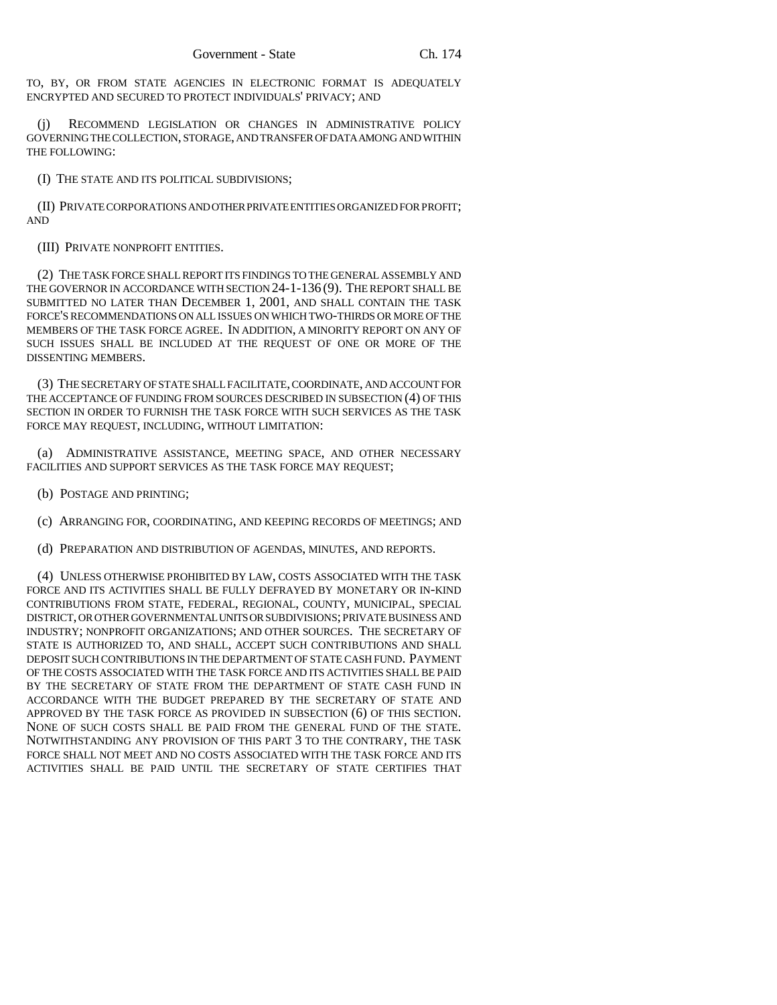TO, BY, OR FROM STATE AGENCIES IN ELECTRONIC FORMAT IS ADEQUATELY ENCRYPTED AND SECURED TO PROTECT INDIVIDUALS' PRIVACY; AND

(j) RECOMMEND LEGISLATION OR CHANGES IN ADMINISTRATIVE POLICY GOVERNING THE COLLECTION, STORAGE, AND TRANSFER OF DATA AMONG AND WITHIN THE FOLLOWING:

(I) THE STATE AND ITS POLITICAL SUBDIVISIONS;

(II) PRIVATE CORPORATIONS AND OTHER PRIVATE ENTITIES ORGANIZED FOR PROFIT; AND

(III) PRIVATE NONPROFIT ENTITIES.

(2) THE TASK FORCE SHALL REPORT ITS FINDINGS TO THE GENERAL ASSEMBLY AND THE GOVERNOR IN ACCORDANCE WITH SECTION 24-1-136 (9). THE REPORT SHALL BE SUBMITTED NO LATER THAN DECEMBER 1, 2001, AND SHALL CONTAIN THE TASK FORCE'S RECOMMENDATIONS ON ALL ISSUES ON WHICH TWO-THIRDS OR MORE OF THE MEMBERS OF THE TASK FORCE AGREE. IN ADDITION, A MINORITY REPORT ON ANY OF SUCH ISSUES SHALL BE INCLUDED AT THE REQUEST OF ONE OR MORE OF THE DISSENTING MEMBERS.

(3) THE SECRETARY OF STATE SHALL FACILITATE, COORDINATE, AND ACCOUNT FOR THE ACCEPTANCE OF FUNDING FROM SOURCES DESCRIBED IN SUBSECTION (4) OF THIS SECTION IN ORDER TO FURNISH THE TASK FORCE WITH SUCH SERVICES AS THE TASK FORCE MAY REQUEST, INCLUDING, WITHOUT LIMITATION:

(a) ADMINISTRATIVE ASSISTANCE, MEETING SPACE, AND OTHER NECESSARY FACILITIES AND SUPPORT SERVICES AS THE TASK FORCE MAY REQUEST;

(b) POSTAGE AND PRINTING;

(c) ARRANGING FOR, COORDINATING, AND KEEPING RECORDS OF MEETINGS; AND

(d) PREPARATION AND DISTRIBUTION OF AGENDAS, MINUTES, AND REPORTS.

(4) UNLESS OTHERWISE PROHIBITED BY LAW, COSTS ASSOCIATED WITH THE TASK FORCE AND ITS ACTIVITIES SHALL BE FULLY DEFRAYED BY MONETARY OR IN-KIND CONTRIBUTIONS FROM STATE, FEDERAL, REGIONAL, COUNTY, MUNICIPAL, SPECIAL DISTRICT, OR OTHER GOVERNMENTAL UNITS OR SUBDIVISIONS; PRIVATE BUSINESS AND INDUSTRY; NONPROFIT ORGANIZATIONS; AND OTHER SOURCES. THE SECRETARY OF STATE IS AUTHORIZED TO, AND SHALL, ACCEPT SUCH CONTRIBUTIONS AND SHALL DEPOSIT SUCH CONTRIBUTIONS IN THE DEPARTMENT OF STATE CASH FUND. PAYMENT OF THE COSTS ASSOCIATED WITH THE TASK FORCE AND ITS ACTIVITIES SHALL BE PAID BY THE SECRETARY OF STATE FROM THE DEPARTMENT OF STATE CASH FUND IN ACCORDANCE WITH THE BUDGET PREPARED BY THE SECRETARY OF STATE AND APPROVED BY THE TASK FORCE AS PROVIDED IN SUBSECTION (6) OF THIS SECTION. NONE OF SUCH COSTS SHALL BE PAID FROM THE GENERAL FUND OF THE STATE. NOTWITHSTANDING ANY PROVISION OF THIS PART 3 TO THE CONTRARY, THE TASK FORCE SHALL NOT MEET AND NO COSTS ASSOCIATED WITH THE TASK FORCE AND ITS ACTIVITIES SHALL BE PAID UNTIL THE SECRETARY OF STATE CERTIFIES THAT